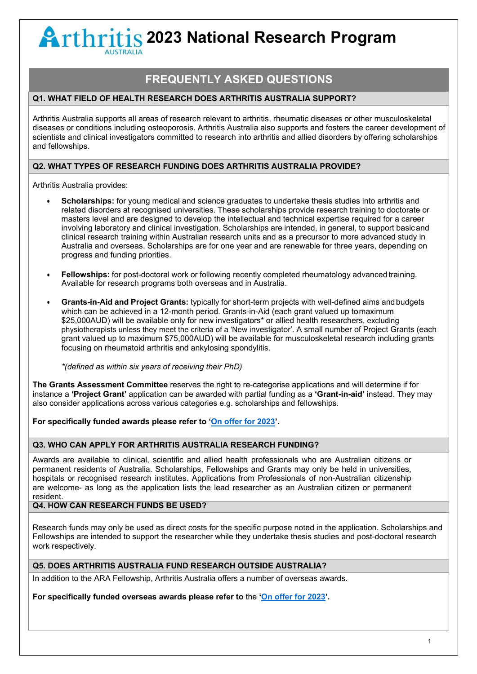# **2023 National Research Program |**

## **FREQUENTLY ASKED QUESTIONS**

#### **Q1. WHAT FIELD OF HEALTH RESEARCH DOES ARTHRITIS AUSTRALIA SUPPORT?**

Arthritis Australia supports all areas of research relevant to arthritis, rheumatic diseases or other musculoskeletal diseases or conditions including osteoporosis. Arthritis Australia also supports and fosters the career development of scientists and clinical investigators committed to research into arthritis and allied disorders by offering scholarships and fellowships.

#### **Q2. WHAT TYPES OF RESEARCH FUNDING DOES ARTHRITIS AUSTRALIA PROVIDE?**

Arthritis Australia provides:

- **Scholarships:** for young medical and science graduates to undertake thesis studies into arthritis and related disorders at recognised universities. These scholarships provide research training to doctorate or masters level and are designed to develop the intellectual and technical expertise required for a career involving laboratory and clinical investigation. Scholarships are intended, in general, to support basicand clinical research training within Australian research units and as a precursor to more advanced study in Australia and overseas. Scholarships are for one year and are renewable for three years, depending on progress and funding priorities.
- **Fellowships:** for post-doctoral work or following recently completed rheumatology advanced training. Available for research programs both overseas and in Australia.
- **Grants-in-Aid and Project Grants:** typically for short-term projects with well-defined aims andbudgets which can be achieved in a 12-month period. Grants-in-Aid (each grant valued up tomaximum \$25,000AUD) will be available only for new investigators\* or allied health researchers, excluding physiotherapists unless they meet the criteria of a 'New investigator'. A small number of Project Grants (each grant valued up to maximum \$75,000AUD) will be available for musculoskeletal research including grants focusing on rheumatoid arthritis and ankylosing spondylitis.

*\*(defined as within six years of receiving their PhD)*

**The Grants Assessment Committee** reserves the right to re-categorise applications and will determine if for instance a **'Project Grant'** application can be awarded with partial funding as a **'Grant-in-aid'** instead. They may also consider applications across various categories e.g. scholarships and fellowships.

**For specifically funded awards please refer to ['On offer for 2023'](https://arthritisaustralia.com.au/programs-research/national-research-program/on-offer/).** 

#### **Q3. WHO CAN APPLY FOR ARTHRITIS AUSTRALIA RESEARCH FUNDING?**

Awards are available to clinical, scientific and allied health professionals who are Australian citizens or permanent residents of Australia. Scholarships, Fellowships and Grants may only be held in universities, hospitals or recognised research institutes. Applications from Professionals of non-Australian citizenship are welcome- as long as the application lists the lead researcher as an Australian citizen or permanent resident.

#### **Q4. HOW CAN RESEARCH FUNDS BE USED?**

Research funds may only be used as direct costs for the specific purpose noted in the application. Scholarships and Fellowships are intended to support the researcher while they undertake thesis studies and post-doctoral research work respectively.

#### **Q5. DOES ARTHRITIS AUSTRALIA FUND RESEARCH OUTSIDE AUSTRALIA?**

In addition to the ARA Fellowship, Arthritis Australia offers a number of overseas awards.

**For specifically funded overseas awards please refer to** the **['On offer for 2023'](https://arthritisaustralia.com.au/programs-research/national-research-program/on-offer/).**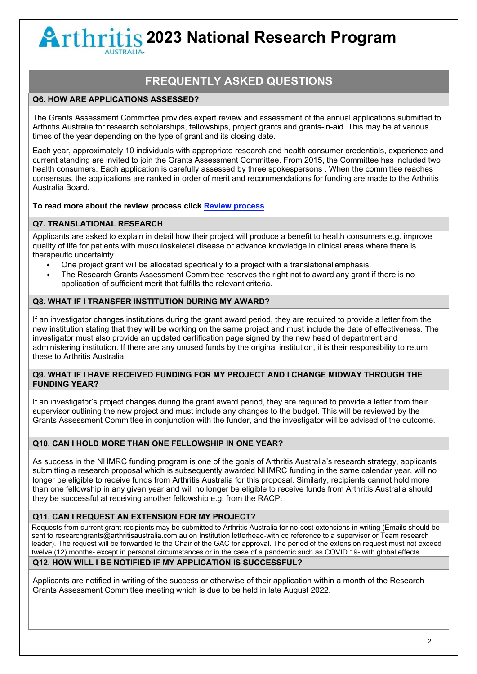# **2023 National Research Program |** -

## **FREQUENTLY ASKED QUESTIONS**

#### **Q6. HOW ARE APPLICATIONS ASSESSED?**

The Grants Assessment Committee provides expert review and assessment of the annual applications submitted to Arthritis Australia for research scholarships, fellowships, project grants and grants-in-aid. This may be at various times of the year depending on the type of grant and its closing date.

Each year, approximately 10 individuals with appropriate research and health consumer credentials, experience and current standing are invited to join the Grants Assessment Committee. From 2015, the Committee has included two health consumers. Each application is carefully assessed by three spokespersons . When the committee reaches consensus, the applications are ranked in order of merit and recommendations for funding are made to the Arthritis Australia Board.

#### **To read more about the review process click [Review process](https://arthritisaustralia.com.au/programs-research/national-research-program/our-grants/)**

#### **Q7. TRANSLATIONAL RESEARCH**

Applicants are asked to explain in detail how their project will produce a benefit to health consumers e.g. improve quality of life for patients with musculoskeletal disease or advance knowledge in clinical areas where there is therapeutic uncertainty.

- One project grant will be allocated specifically to a project with a translational emphasis.
- The Research Grants Assessment Committee reserves the right not to award any grant if there is no application of sufficient merit that fulfills the relevant criteria.

#### **Q8. WHAT IF I TRANSFER INSTITUTION DURING MY AWARD?**

If an investigator changes institutions during the grant award period, they are required to provide a letter from the new institution stating that they will be working on the same project and must include the date of effectiveness. The investigator must also provide an updated certification page signed by the new head of department and administering institution. If there are any unused funds by the original institution, it is their responsibility to return these to Arthritis Australia.

#### **Q9. WHAT IF I HAVE RECEIVED FUNDING FOR MY PROJECT AND I CHANGE MIDWAY THROUGH THE FUNDING YEAR?**

If an investigator's project changes during the grant award period, they are required to provide a letter from their supervisor outlining the new project and must include any changes to the budget. This will be reviewed by the Grants Assessment Committee in conjunction with the funder, and the investigator will be advised of the outcome.

#### **Q10. CAN I HOLD MORE THAN ONE FELLOWSHIP IN ONE YEAR?**

As success in the NHMRC funding program is one of the goals of Arthritis Australia's research strategy, applicants submitting a research proposal which is subsequently awarded NHMRC funding in the same calendar year, will no longer be eligible to receive funds from Arthritis Australia for this proposal. Similarly, recipients cannot hold more than one fellowship in any given year and will no longer be eligible to receive funds from Arthritis Australia should they be successful at receiving another fellowship e.g. from the RACP.

#### **Q11. CAN I REQUEST AN EXTENSION FOR MY PROJECT?**

Requests from current grant recipients may be submitted to Arthritis Australia for no-cost extensions in writing (Emails should be sent to [researchgrants@arthritisaustralia.com.au o](mailto:researchgrants@arthritisaustralia.com.au)n Institution letterhead-with cc reference to a supervisor or Team research leader). The request will be forwarded to the Chair of the GAC for approval. The period of the extension request must not exceed twelve (12) months- except in personal circumstances or in the case of a pandemic such as COVID 19- with global effects.

#### **Q12. HOW WILL I BE NOTIFIED IF MY APPLICATION IS SUCCESSFUL?**

Applicants are notified in writing of the success or otherwise of their application within a month of the Research Grants Assessment Committee meeting which is due to be held in late August 2022.